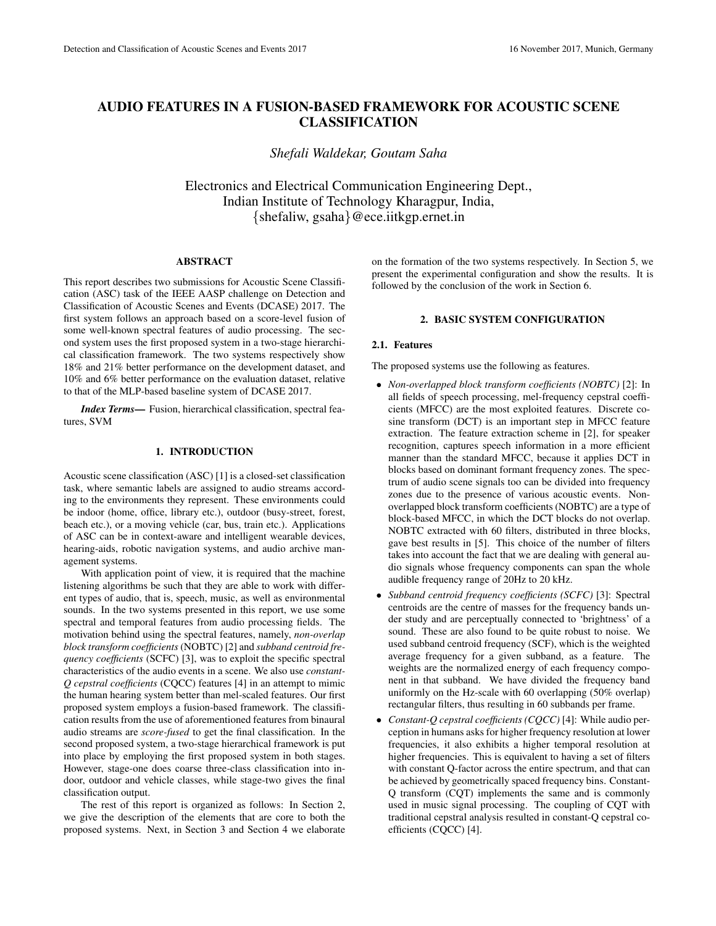# AUDIO FEATURES IN A FUSION-BASED FRAMEWORK FOR ACOUSTIC SCENE CLASSIFICATION

*Shefali Waldekar, Goutam Saha*

Electronics and Electrical Communication Engineering Dept., Indian Institute of Technology Kharagpur, India, {shefaliw, gsaha}@ece.iitkgp.ernet.in

### ABSTRACT

This report describes two submissions for Acoustic Scene Classification (ASC) task of the IEEE AASP challenge on Detection and Classification of Acoustic Scenes and Events (DCASE) 2017. The first system follows an approach based on a score-level fusion of some well-known spectral features of audio processing. The second system uses the first proposed system in a two-stage hierarchical classification framework. The two systems respectively show 18% and 21% better performance on the development dataset, and 10% and 6% better performance on the evaluation dataset, relative to that of the MLP-based baseline system of DCASE 2017.

*Index Terms*— Fusion, hierarchical classification, spectral features, SVM

# 1. INTRODUCTION

Acoustic scene classification (ASC) [1] is a closed-set classification task, where semantic labels are assigned to audio streams according to the environments they represent. These environments could be indoor (home, office, library etc.), outdoor (busy-street, forest, beach etc.), or a moving vehicle (car, bus, train etc.). Applications of ASC can be in context-aware and intelligent wearable devices, hearing-aids, robotic navigation systems, and audio archive management systems.

With application point of view, it is required that the machine listening algorithms be such that they are able to work with different types of audio, that is, speech, music, as well as environmental sounds. In the two systems presented in this report, we use some spectral and temporal features from audio processing fields. The motivation behind using the spectral features, namely, *non-overlap block transform coefficients* (NOBTC) [2] and *subband centroid frequency coefficients* (SCFC) [3], was to exploit the specific spectral characteristics of the audio events in a scene. We also use *constant-Q cepstral coefficients* (CQCC) features [4] in an attempt to mimic the human hearing system better than mel-scaled features. Our first proposed system employs a fusion-based framework. The classification results from the use of aforementioned features from binaural audio streams are *score-fused* to get the final classification. In the second proposed system, a two-stage hierarchical framework is put into place by employing the first proposed system in both stages. However, stage-one does coarse three-class classification into indoor, outdoor and vehicle classes, while stage-two gives the final classification output.

The rest of this report is organized as follows: In Section 2, we give the description of the elements that are core to both the proposed systems. Next, in Section 3 and Section 4 we elaborate

on the formation of the two systems respectively. In Section 5, we present the experimental configuration and show the results. It is followed by the conclusion of the work in Section 6.

## 2. BASIC SYSTEM CONFIGURATION

### 2.1. Features

The proposed systems use the following as features.

- *Non-overlapped block transform coefficients (NOBTC)* [2]: In all fields of speech processing, mel-frequency cepstral coefficients (MFCC) are the most exploited features. Discrete cosine transform (DCT) is an important step in MFCC feature extraction. The feature extraction scheme in [2], for speaker recognition, captures speech information in a more efficient manner than the standard MFCC, because it applies DCT in blocks based on dominant formant frequency zones. The spectrum of audio scene signals too can be divided into frequency zones due to the presence of various acoustic events. Nonoverlapped block transform coefficients (NOBTC) are a type of block-based MFCC, in which the DCT blocks do not overlap. NOBTC extracted with 60 filters, distributed in three blocks, gave best results in [5]. This choice of the number of filters takes into account the fact that we are dealing with general audio signals whose frequency components can span the whole audible frequency range of 20Hz to 20 kHz.
- *Subband centroid frequency coefficients (SCFC)* [3]: Spectral centroids are the centre of masses for the frequency bands under study and are perceptually connected to 'brightness' of a sound. These are also found to be quite robust to noise. We used subband centroid frequency (SCF), which is the weighted average frequency for a given subband, as a feature. The weights are the normalized energy of each frequency component in that subband. We have divided the frequency band uniformly on the Hz-scale with 60 overlapping (50% overlap) rectangular filters, thus resulting in 60 subbands per frame.
- *Constant-Q cepstral coefficients (CQCC)* [4]: While audio perception in humans asks for higher frequency resolution at lower frequencies, it also exhibits a higher temporal resolution at higher frequencies. This is equivalent to having a set of filters with constant Q-factor across the entire spectrum, and that can be achieved by geometrically spaced frequency bins. Constant-Q transform (CQT) implements the same and is commonly used in music signal processing. The coupling of CQT with traditional cepstral analysis resulted in constant-Q cepstral coefficients (CQCC) [4].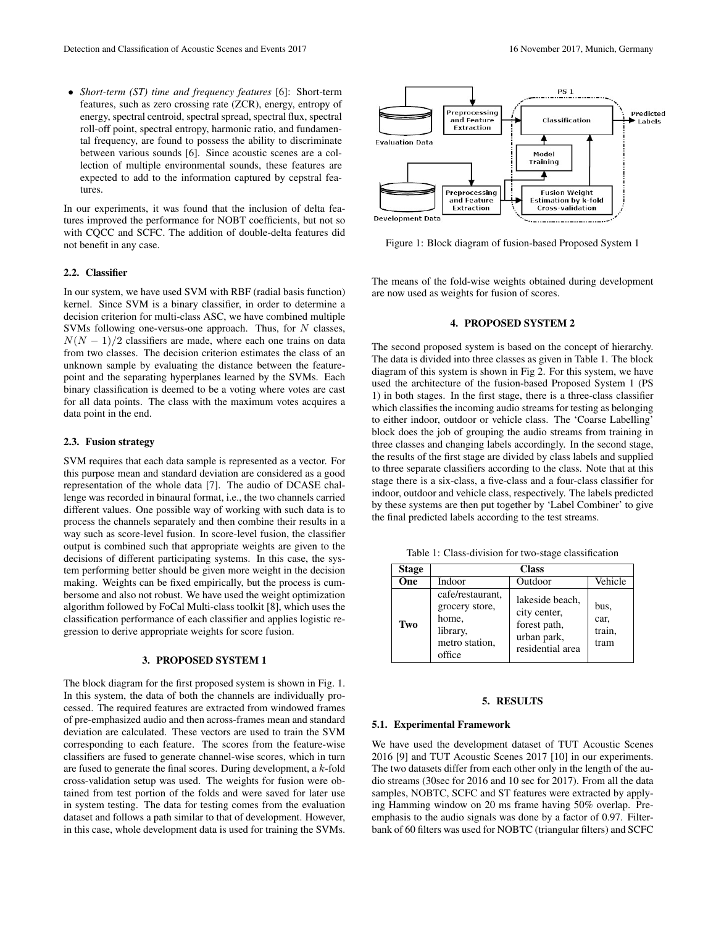• *Short-term (ST) time and frequency features* [6]: Short-term features, such as zero crossing rate (ZCR), energy, entropy of energy, spectral centroid, spectral spread, spectral flux, spectral roll-off point, spectral entropy, harmonic ratio, and fundamental frequency, are found to possess the ability to discriminate between various sounds [6]. Since acoustic scenes are a collection of multiple environmental sounds, these features are expected to add to the information captured by cepstral features.

In our experiments, it was found that the inclusion of delta features improved the performance for NOBT coefficients, but not so with CQCC and SCFC. The addition of double-delta features did not benefit in any case.

# 2.2. Classifier

In our system, we have used SVM with RBF (radial basis function) kernel. Since SVM is a binary classifier, in order to determine a decision criterion for multi-class ASC, we have combined multiple SVMs following one-versus-one approach. Thus, for  $N$  classes,  $N(N - 1)/2$  classifiers are made, where each one trains on data from two classes. The decision criterion estimates the class of an unknown sample by evaluating the distance between the featurepoint and the separating hyperplanes learned by the SVMs. Each binary classification is deemed to be a voting where votes are cast for all data points. The class with the maximum votes acquires a data point in the end.

### 2.3. Fusion strategy

SVM requires that each data sample is represented as a vector. For this purpose mean and standard deviation are considered as a good representation of the whole data [7]. The audio of DCASE challenge was recorded in binaural format, i.e., the two channels carried different values. One possible way of working with such data is to process the channels separately and then combine their results in a way such as score-level fusion. In score-level fusion, the classifier output is combined such that appropriate weights are given to the decisions of different participating systems. In this case, the system performing better should be given more weight in the decision making. Weights can be fixed empirically, but the process is cumbersome and also not robust. We have used the weight optimization algorithm followed by FoCal Multi-class toolkit [8], which uses the classification performance of each classifier and applies logistic regression to derive appropriate weights for score fusion.

#### 3. PROPOSED SYSTEM 1

The block diagram for the first proposed system is shown in Fig. 1. In this system, the data of both the channels are individually processed. The required features are extracted from windowed frames of pre-emphasized audio and then across-frames mean and standard deviation are calculated. These vectors are used to train the SVM corresponding to each feature. The scores from the feature-wise classifiers are fused to generate channel-wise scores, which in turn are fused to generate the final scores. During development, a k-fold cross-validation setup was used. The weights for fusion were obtained from test portion of the folds and were saved for later use in system testing. The data for testing comes from the evaluation dataset and follows a path similar to that of development. However, in this case, whole development data is used for training the SVMs.



Figure 1: Block diagram of fusion-based Proposed System 1

The means of the fold-wise weights obtained during development are now used as weights for fusion of scores.

#### 4. PROPOSED SYSTEM 2

The second proposed system is based on the concept of hierarchy. The data is divided into three classes as given in Table 1. The block diagram of this system is shown in Fig 2. For this system, we have used the architecture of the fusion-based Proposed System 1 (PS 1) in both stages. In the first stage, there is a three-class classifier which classifies the incoming audio streams for testing as belonging to either indoor, outdoor or vehicle class. The 'Coarse Labelling' block does the job of grouping the audio streams from training in three classes and changing labels accordingly. In the second stage, the results of the first stage are divided by class labels and supplied to three separate classifiers according to the class. Note that at this stage there is a six-class, a five-class and a four-class classifier for indoor, outdoor and vehicle class, respectively. The labels predicted by these systems are then put together by 'Label Combiner' to give the final predicted labels according to the test streams.

Table 1: Class-division for two-stage classification

| <b>Stage</b> | <b>Class</b>                                                                                |                                                                                    |                                |  |
|--------------|---------------------------------------------------------------------------------------------|------------------------------------------------------------------------------------|--------------------------------|--|
| One          | Indoor                                                                                      | Outdoor                                                                            | Vehicle                        |  |
| Two          | cafe/restaurant,<br>grocery store,<br>home,<br>library,<br>metro station,<br>$\alpha$ ffice | lakeside beach,<br>city center,<br>forest path,<br>urban park,<br>residential area | bus,<br>car,<br>train,<br>tram |  |

# 5. RESULTS

#### 5.1. Experimental Framework

We have used the development dataset of TUT Acoustic Scenes 2016 [9] and TUT Acoustic Scenes 2017 [10] in our experiments. The two datasets differ from each other only in the length of the audio streams (30sec for 2016 and 10 sec for 2017). From all the data samples, NOBTC, SCFC and ST features were extracted by applying Hamming window on 20 ms frame having 50% overlap. Preemphasis to the audio signals was done by a factor of 0.97. Filterbank of 60 filters was used for NOBTC (triangular filters) and SCFC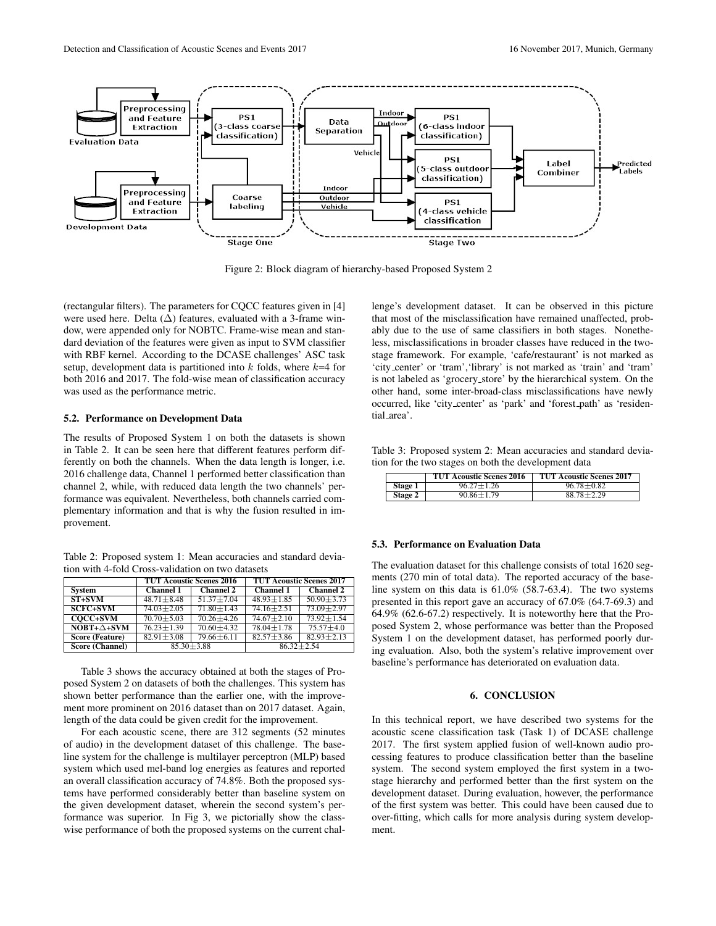

Figure 2: Block diagram of hierarchy-based Proposed System 2

(rectangular filters). The parameters for CQCC features given in [4] were used here. Delta (∆) features, evaluated with a 3-frame window, were appended only for NOBTC. Frame-wise mean and standard deviation of the features were given as input to SVM classifier with RBF kernel. According to the DCASE challenges' ASC task setup, development data is partitioned into  $k$  folds, where  $k=4$  for both 2016 and 2017. The fold-wise mean of classification accuracy was used as the performance metric.

### 5.2. Performance on Development Data

The results of Proposed System 1 on both the datasets is shown in Table 2. It can be seen here that different features perform differently on both the channels. When the data length is longer, i.e. 2016 challenge data, Channel 1 performed better classification than channel 2, while, with reduced data length the two channels' performance was equivalent. Nevertheless, both channels carried complementary information and that is why the fusion resulted in improvement.

Table 2: Proposed system 1: Mean accuracies and standard deviation with 4-fold Cross-validation on two datasets

|                        | <b>TUT Acoustic Scenes 2016</b> |                  | <b>TUT Acoustic Scenes 2017</b> |                  |
|------------------------|---------------------------------|------------------|---------------------------------|------------------|
| System                 | <b>Channel 1</b>                | <b>Channel 2</b> | <b>Channel 1</b>                | <b>Channel 2</b> |
| $ST+SVM$               | $48.71 \pm 8.48$                | $51.37 + 7.04$   | $48.93 + 1.85$                  | $50.90 \pm 3.73$ |
| <b>SCFC+SVM</b>        | $74.03 \pm 2.05$                | $71.80 \pm 1.43$ | $74.16 \pm 2.51$                | $73.09 + 2.97$   |
| <b>COCC+SVM</b>        | $70.70 + 5.03$                  | $70.26 + 4.26$   | $74.67 + 2.10$                  | $73.92 + 1.54$   |
| $N$ OBT+ $\Delta$ +SVM | $76.23 + 1.39$                  | $70.60 \pm 4.32$ | $78.04 + 1.78$                  | $75.57\pm4.0$    |
| <b>Score (Feature)</b> | $82.91 \pm 3.08$                | $79.66 \pm 6.11$ | $82.57 \pm 3.86$                | $82.93 + 2.13$   |
| <b>Score (Channel)</b> |                                 | $85.30 + 3.88$   | $86.32 + 2.54$                  |                  |

Table 3 shows the accuracy obtained at both the stages of Proposed System 2 on datasets of both the challenges. This system has shown better performance than the earlier one, with the improvement more prominent on 2016 dataset than on 2017 dataset. Again, length of the data could be given credit for the improvement.

For each acoustic scene, there are 312 segments (52 minutes of audio) in the development dataset of this challenge. The baseline system for the challenge is multilayer perceptron (MLP) based system which used mel-band log energies as features and reported an overall classification accuracy of 74.8%. Both the proposed systems have performed considerably better than baseline system on the given development dataset, wherein the second system's performance was superior. In Fig 3, we pictorially show the classwise performance of both the proposed systems on the current chal-

lenge's development dataset. It can be observed in this picture that most of the misclassification have remained unaffected, probably due to the use of same classifiers in both stages. Nonetheless, misclassifications in broader classes have reduced in the twostage framework. For example, 'cafe/restaurant' is not marked as 'city center' or 'tram','library' is not marked as 'train' and 'tram' is not labeled as 'grocery store' by the hierarchical system. On the other hand, some inter-broad-class misclassifications have newly occurred, like 'city center' as 'park' and 'forest path' as 'residential area'.

Table 3: Proposed system 2: Mean accuracies and standard deviation for the two stages on both the development data

|                | <b>TUT Acoustic Scenes 2016</b> | <b>TUT Acoustic Scenes 2017</b> |
|----------------|---------------------------------|---------------------------------|
| Stage 1        | $96.27 \pm 1.26$                | $96.78 \pm 0.82$                |
| <b>Stage 2</b> | $90.86 \pm 1.79$                | $88.78 \pm 2.29$                |

### 5.3. Performance on Evaluation Data

The evaluation dataset for this challenge consists of total 1620 segments (270 min of total data). The reported accuracy of the baseline system on this data is 61.0% (58.7-63.4). The two systems presented in this report gave an accuracy of 67.0% (64.7-69.3) and 64.9% (62.6-67.2) respectively. It is noteworthy here that the Proposed System 2, whose performance was better than the Proposed System 1 on the development dataset, has performed poorly during evaluation. Also, both the system's relative improvement over baseline's performance has deteriorated on evaluation data.

# 6. CONCLUSION

In this technical report, we have described two systems for the acoustic scene classification task (Task 1) of DCASE challenge 2017. The first system applied fusion of well-known audio processing features to produce classification better than the baseline system. The second system employed the first system in a twostage hierarchy and performed better than the first system on the development dataset. During evaluation, however, the performance of the first system was better. This could have been caused due to over-fitting, which calls for more analysis during system development.